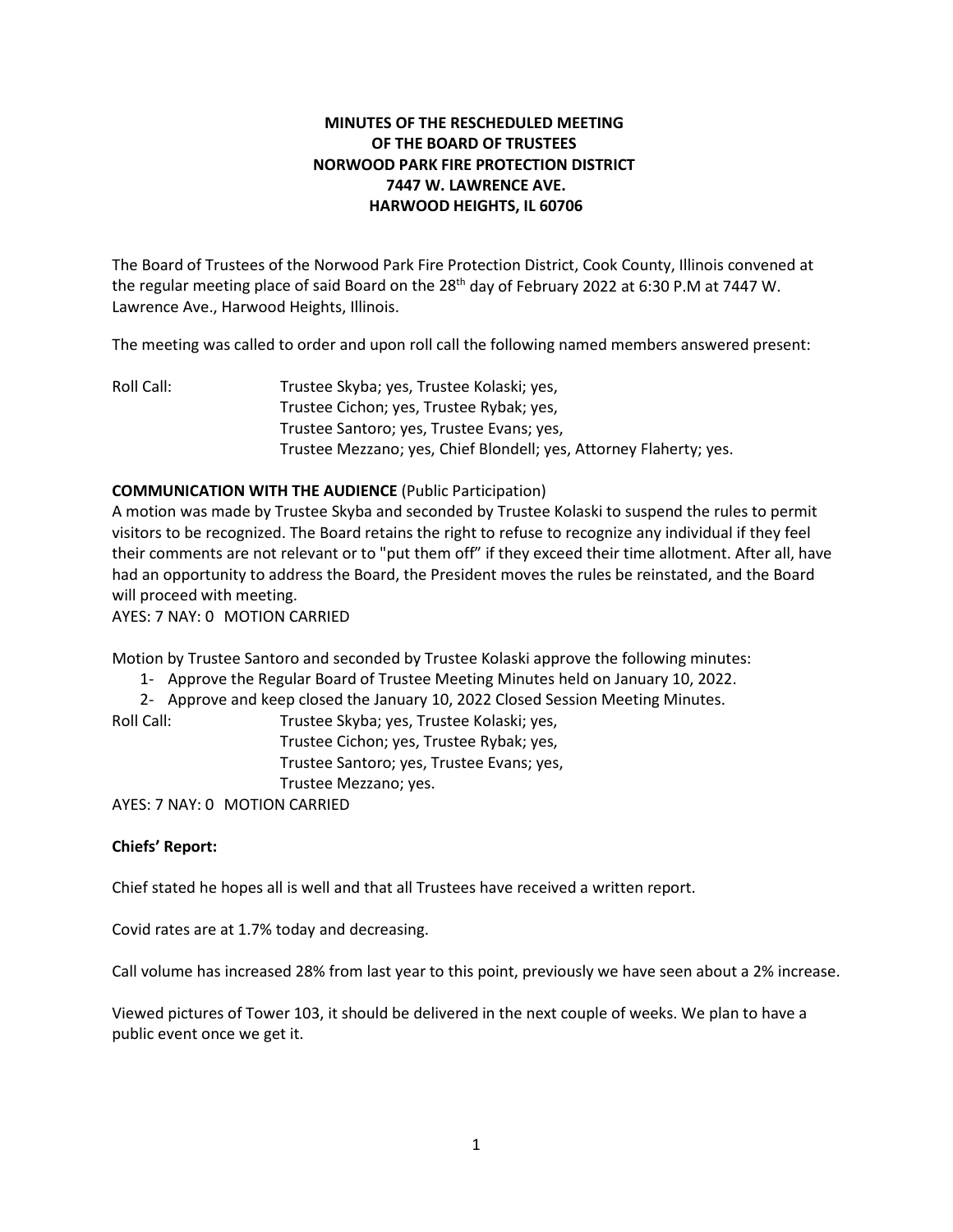# **MINUTES OF THE RESCHEDULED MEETING OF THE BOARD OF TRUSTEES NORWOOD PARK FIRE PROTECTION DISTRICT 7447 W. LAWRENCE AVE. HARWOOD HEIGHTS, IL 60706**

The Board of Trustees of the Norwood Park Fire Protection District, Cook County, Illinois convened at the regular meeting place of said Board on the 28<sup>th</sup> day of February 2022 at 6:30 P.M at 7447 W. Lawrence Ave., Harwood Heights, Illinois.

The meeting was called to order and upon roll call the following named members answered present:

Roll Call: Trustee Skyba; yes, Trustee Kolaski; yes, Trustee Cichon; yes, Trustee Rybak; yes, Trustee Santoro; yes, Trustee Evans; yes, Trustee Mezzano; yes, Chief Blondell; yes, Attorney Flaherty; yes.

# **COMMUNICATION WITH THE AUDIENCE** (Public Participation)

A motion was made by Trustee Skyba and seconded by Trustee Kolaski to suspend the rules to permit visitors to be recognized. The Board retains the right to refuse to recognize any individual if they feel their comments are not relevant or to "put them off" if they exceed their time allotment. After all, have had an opportunity to address the Board, the President moves the rules be reinstated, and the Board will proceed with meeting.

AYES: 7 NAY: 0 MOTION CARRIED

Motion by Trustee Santoro and seconded by Trustee Kolaski approve the following minutes:

- 1- Approve the Regular Board of Trustee Meeting Minutes held on January 10, 2022.
- 2- Approve and keep closed the January 10, 2022 Closed Session Meeting Minutes.

Roll Call: Trustee Skyba; yes, Trustee Kolaski; yes, Trustee Cichon; yes, Trustee Rybak; yes, Trustee Santoro; yes, Trustee Evans; yes, Trustee Mezzano; yes.

AYES: 7 NAY: 0 MOTION CARRIED

# **Chiefs' Report:**

Chief stated he hopes all is well and that all Trustees have received a written report.

Covid rates are at 1.7% today and decreasing.

Call volume has increased 28% from last year to this point, previously we have seen about a 2% increase.

Viewed pictures of Tower 103, it should be delivered in the next couple of weeks. We plan to have a public event once we get it.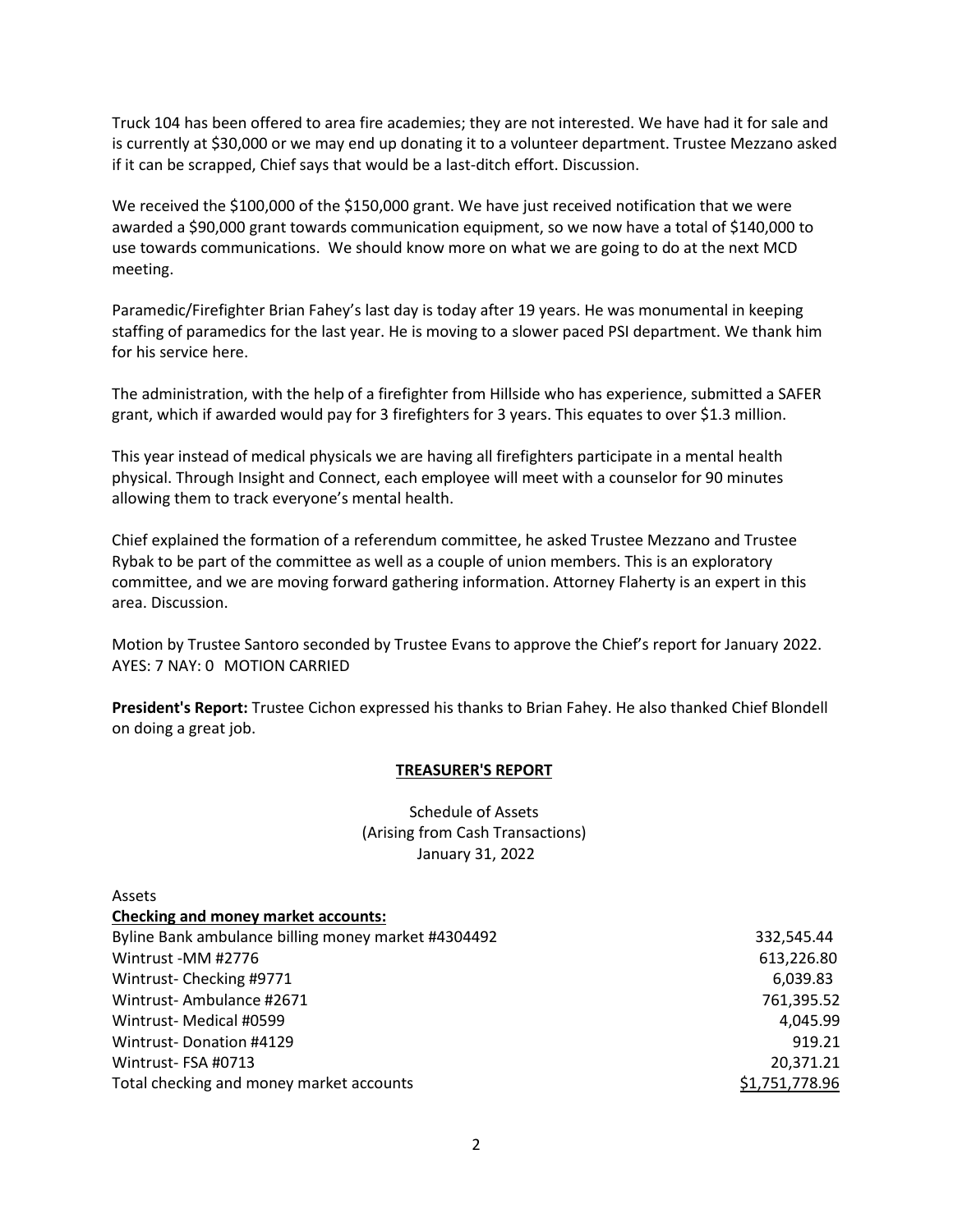Truck 104 has been offered to area fire academies; they are not interested. We have had it for sale and is currently at \$30,000 or we may end up donating it to a volunteer department. Trustee Mezzano asked if it can be scrapped, Chief says that would be a last-ditch effort. Discussion.

We received the \$100,000 of the \$150,000 grant. We have just received notification that we were awarded a \$90,000 grant towards communication equipment, so we now have a total of \$140,000 to use towards communications. We should know more on what we are going to do at the next MCD meeting.

Paramedic/Firefighter Brian Fahey's last day is today after 19 years. He was monumental in keeping staffing of paramedics for the last year. He is moving to a slower paced PSI department. We thank him for his service here.

The administration, with the help of a firefighter from Hillside who has experience, submitted a SAFER grant, which if awarded would pay for 3 firefighters for 3 years. This equates to over \$1.3 million.

This year instead of medical physicals we are having all firefighters participate in a mental health physical. Through Insight and Connect, each employee will meet with a counselor for 90 minutes allowing them to track everyone's mental health.

Chief explained the formation of a referendum committee, he asked Trustee Mezzano and Trustee Rybak to be part of the committee as well as a couple of union members. This is an exploratory committee, and we are moving forward gathering information. Attorney Flaherty is an expert in this area. Discussion.

Motion by Trustee Santoro seconded by Trustee Evans to approve the Chief's report for January 2022. AYES: 7 NAY: 0 MOTION CARRIED

**President's Report:** Trustee Cichon expressed his thanks to Brian Fahey. He also thanked Chief Blondell on doing a great job.

#### **TREASURER'S REPORT**

Schedule of Assets (Arising from Cash Transactions) January 31, 2022

| Assets                                              |                |
|-----------------------------------------------------|----------------|
| <b>Checking and money market accounts:</b>          |                |
| Byline Bank ambulance billing money market #4304492 | 332,545.44     |
| Wintrust -MM #2776                                  | 613,226.80     |
| Wintrust-Checking #9771                             | 6,039.83       |
| Wintrust-Ambulance #2671                            | 761,395.52     |
| Wintrust-Medical #0599                              | 4,045.99       |
| Wintrust-Donation #4129                             | 919.21         |
| Wintrust-FSA #0713                                  | 20,371.21      |
| Total checking and money market accounts            | \$1,751,778.96 |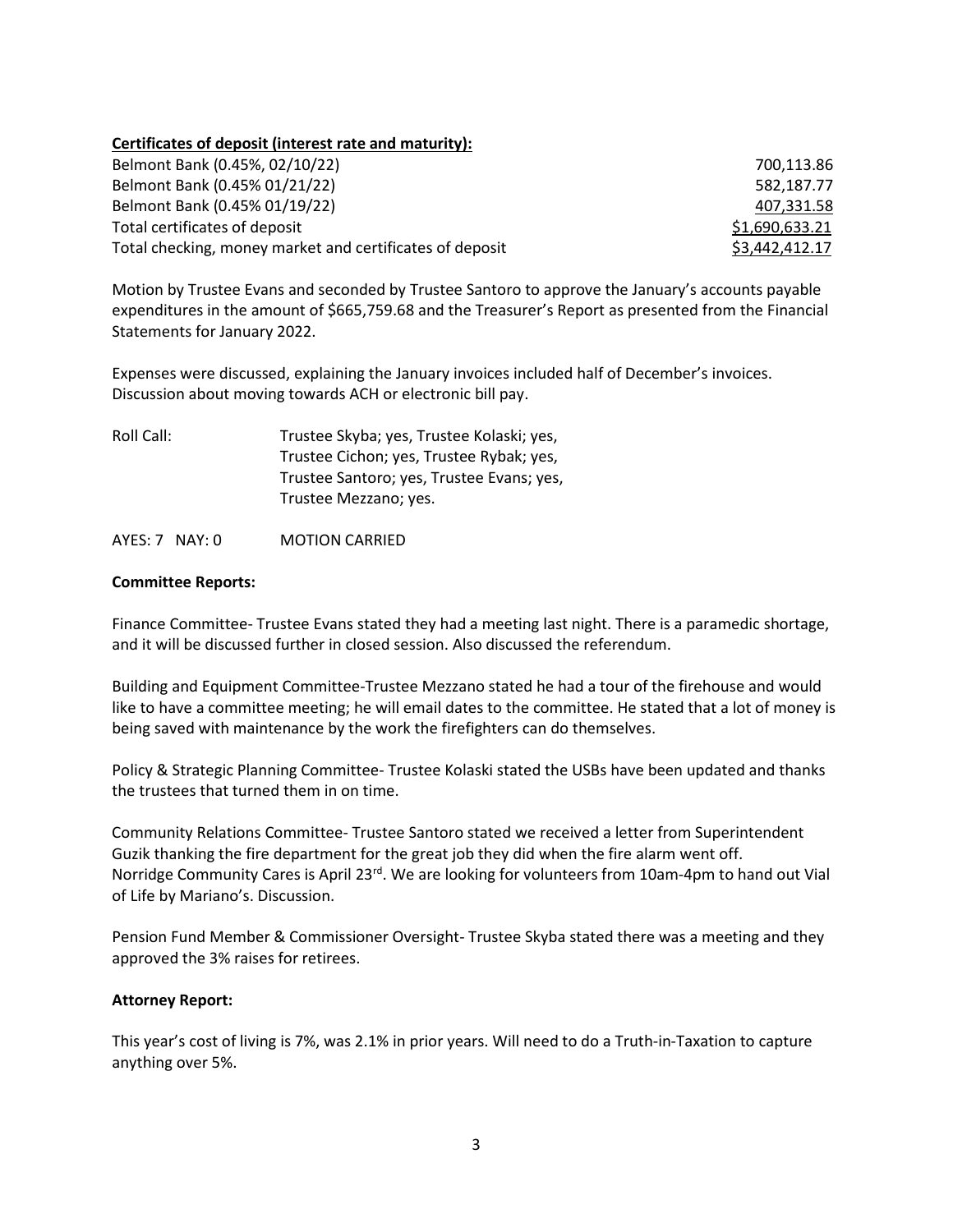# **Certificates of deposit (interest rate and maturity):**

| Belmont Bank (0.45%, 02/10/22)                           | 700.113.86     |
|----------------------------------------------------------|----------------|
| Belmont Bank (0.45% 01/21/22)                            | 582.187.77     |
| Belmont Bank (0.45% 01/19/22)                            | 407,331.58     |
| Total certificates of deposit                            | \$1,690,633.21 |
| Total checking, money market and certificates of deposit | \$3,442,412.17 |

Motion by Trustee Evans and seconded by Trustee Santoro to approve the January's accounts payable expenditures in the amount of \$665,759.68 and the Treasurer's Report as presented from the Financial Statements for January 2022.

Expenses were discussed, explaining the January invoices included half of December's invoices. Discussion about moving towards ACH or electronic bill pay.

| Roll Call: | Trustee Skyba; yes, Trustee Kolaski; yes, |
|------------|-------------------------------------------|
|            | Trustee Cichon; yes, Trustee Rybak; yes,  |
|            | Trustee Santoro; yes, Trustee Evans; yes, |
|            | Trustee Mezzano; yes.                     |
|            |                                           |

AYES: 7 NAY: 0 MOTION CARRIED

#### **Committee Reports:**

Finance Committee- Trustee Evans stated they had a meeting last night. There is a paramedic shortage, and it will be discussed further in closed session. Also discussed the referendum.

Building and Equipment Committee-Trustee Mezzano stated he had a tour of the firehouse and would like to have a committee meeting; he will email dates to the committee. He stated that a lot of money is being saved with maintenance by the work the firefighters can do themselves.

Policy & Strategic Planning Committee- Trustee Kolaski stated the USBs have been updated and thanks the trustees that turned them in on time.

Community Relations Committee- Trustee Santoro stated we received a letter from Superintendent Guzik thanking the fire department for the great job they did when the fire alarm went off. Norridge Community Cares is April 23<sup>rd</sup>. We are looking for volunteers from 10am-4pm to hand out Vial of Life by Mariano's. Discussion.

Pension Fund Member & Commissioner Oversight- Trustee Skyba stated there was a meeting and they approved the 3% raises for retirees.

# **Attorney Report:**

This year's cost of living is 7%, was 2.1% in prior years. Will need to do a Truth-in-Taxation to capture anything over 5%.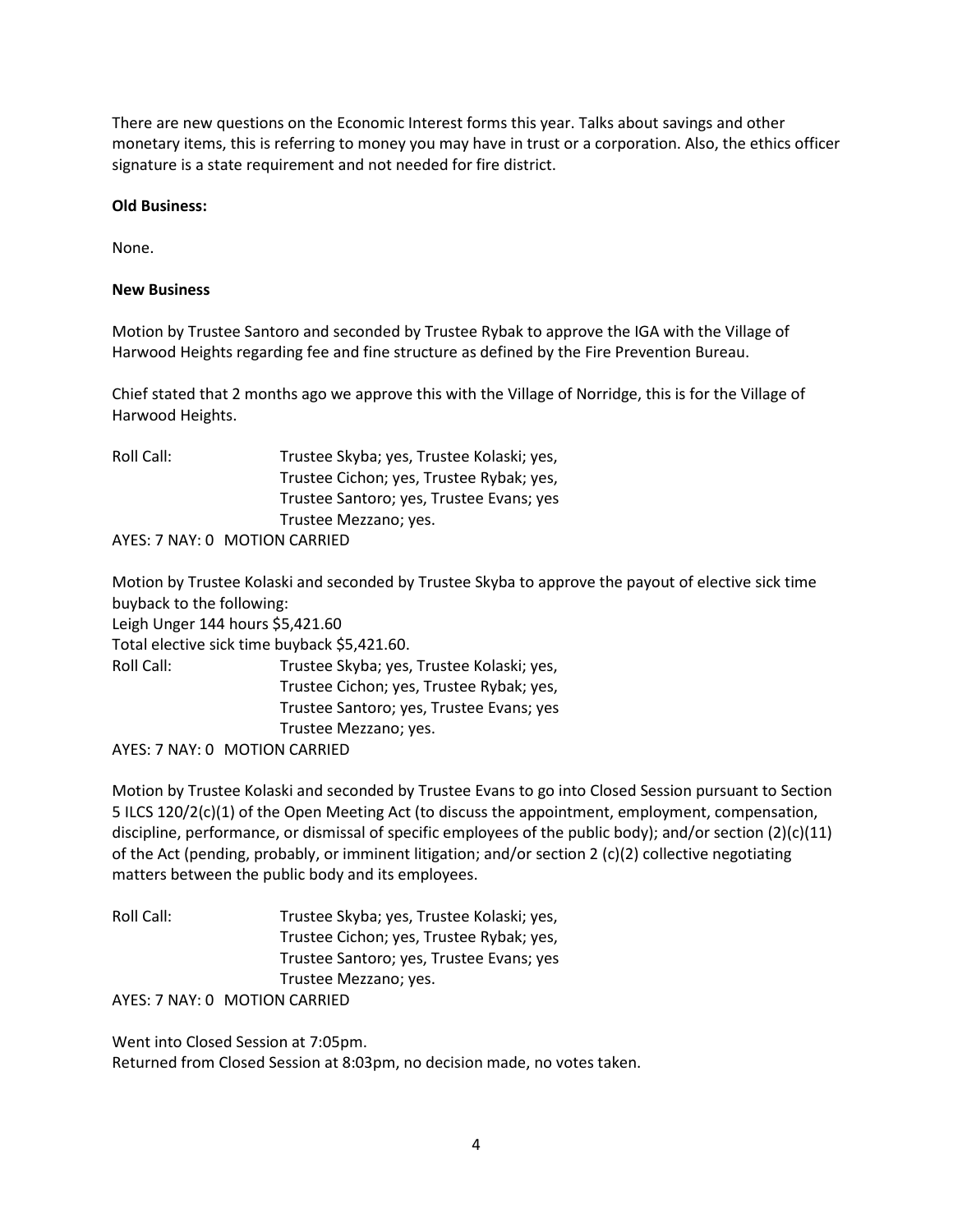There are new questions on the Economic Interest forms this year. Talks about savings and other monetary items, this is referring to money you may have in trust or a corporation. Also, the ethics officer signature is a state requirement and not needed for fire district.

# **Old Business:**

None.

#### **New Business**

Motion by Trustee Santoro and seconded by Trustee Rybak to approve the IGA with the Village of Harwood Heights regarding fee and fine structure as defined by the Fire Prevention Bureau.

Chief stated that 2 months ago we approve this with the Village of Norridge, this is for the Village of Harwood Heights.

| Roll Call: | Trustee Skyba; yes, Trustee Kolaski; yes, |
|------------|-------------------------------------------|
|            | Trustee Cichon; yes, Trustee Rybak; yes,  |
|            | Trustee Santoro; yes, Trustee Evans; yes  |
|            | Trustee Mezzano; yes.                     |
|            | AYES: 7 NAY: 0 MOTION CARRIED             |

Motion by Trustee Kolaski and seconded by Trustee Skyba to approve the payout of elective sick time buyback to the following: Leigh Unger 144 hours \$5,421.60

Total elective sick time buyback \$5,421.60.

| Roll Call: | Trustee Skyba; yes, Trustee Kolaski; yes, |
|------------|-------------------------------------------|
|            | Trustee Cichon; yes, Trustee Rybak; yes,  |
|            | Trustee Santoro; yes, Trustee Evans; yes  |
|            | Trustee Mezzano; yes.                     |
|            | AYES: 7 NAY: 0 MOTION CARRIED             |

Motion by Trustee Kolaski and seconded by Trustee Evans to go into Closed Session pursuant to Section 5 ILCS 120/2(c)(1) of the Open Meeting Act (to discuss the appointment, employment, compensation, discipline, performance, or dismissal of specific employees of the public body); and/or section  $(2)(c)(11)$ of the Act (pending, probably, or imminent litigation; and/or section 2 (c)(2) collective negotiating matters between the public body and its employees.

| Roll Call: | Trustee Skyba; yes, Trustee Kolaski; yes, |
|------------|-------------------------------------------|
|            | Trustee Cichon; yes, Trustee Rybak; yes,  |
|            | Trustee Santoro; yes, Trustee Evans; yes  |
|            | Trustee Mezzano; yes.                     |
|            | AYES: 7 NAY: 0 MOTION CARRIED             |

Went into Closed Session at 7:05pm. Returned from Closed Session at 8:03pm, no decision made, no votes taken.